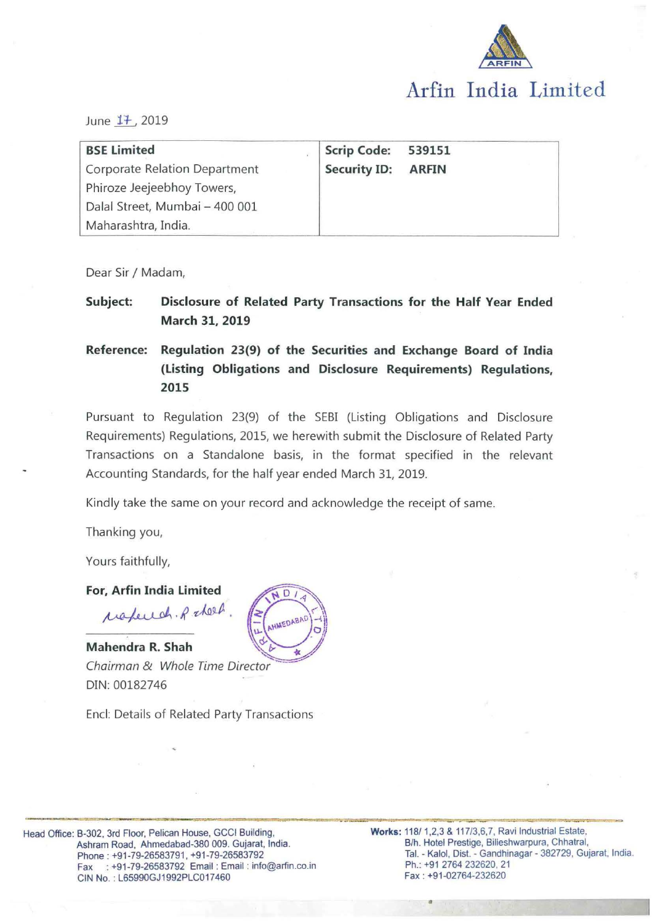

June 17, 2019

| <b>BSE Limited</b>                   | <b>Scrip Code:</b>  | 539151       |
|--------------------------------------|---------------------|--------------|
| <b>Corporate Relation Department</b> | <b>Security ID:</b> | <b>ARFIN</b> |
| Phiroze Jeejeebhoy Towers,           |                     |              |
| Dalal Street, Mumbai - 400 001       |                     |              |
| Maharashtra, India.                  |                     |              |

Dear Sir / Madam,

**Subject: Disclosure of Related Party Transactions for the Half Year Ended March 31, 2019** 

**Reference: Regulation 23(9) of the Securities and Exchange Board of India (Listing Obligations and Disclosure Requirements) Regulations, 2015** 

Pursuant to Regulation 23(9) of the SEBI (Listing Obligations and Disclosure Requirements) Regulations, 2015, we herewith submit the Disclosure of Related Party Transactions on a Standalone basis, in the format specified in the relevant Accounting Standards, for the half year ended March 31, 2019.

Kindly take the same on your record and acknowledge the receipt of same.

Thanking you,

Yours faithfully,

**For, Arfin India Limited** 

respected. R sheet.

**Mahendra R. Shah** Chairman & Whole Time Director DIN:00182746

Encl: Details of Related Party Transactions

**HMEDABAR** 

•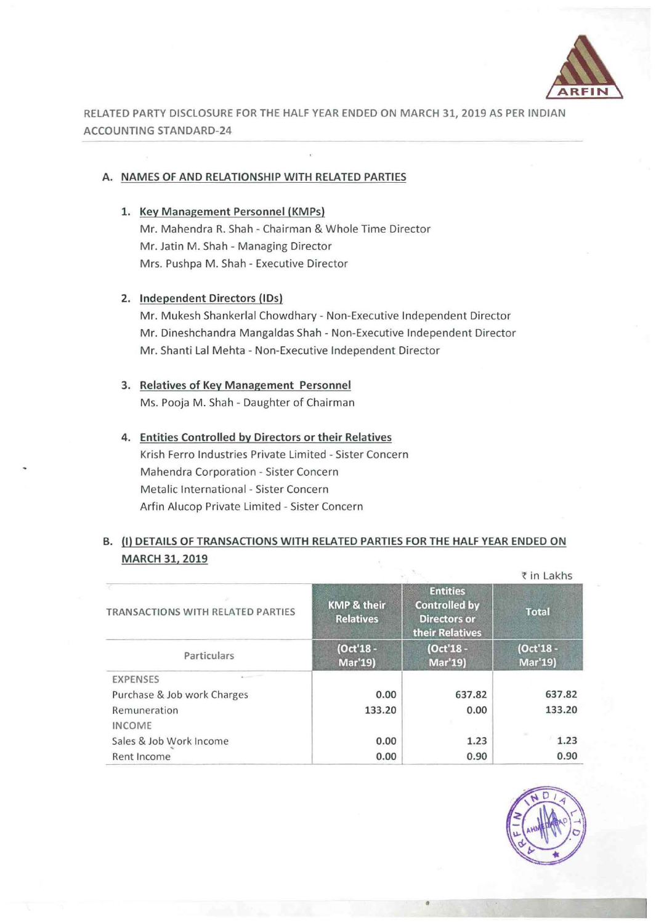

RELATED PARTY DISCLOSURE FOR THE HALF YEAR ENDED ON MARCH 31, 2019 AS PER INDIAN ACCOUNTING STANDARD-24

### A. NAMES OF AND RELATIONSHIP WITH RELATED PARTIES

1. Key Management Personnel (KMPs) Mr. Mahendra R. Shah- Chairman & Whole Time Director Mr. Jatin M. Shah - Managing Director Mrs. Pushpa M. Shah - Executive Director

#### 2. Independent Directors (IDs)

Mr. Mukesh Shankerlal Chowdhary- Non-Executive Independent Director Mr. Dineshchandra Mangaldas Shah- Non-Executive Independent Director Mr. Shanti Lal Mehta - Non-Executive Independent Director

### 3. Relatives of Key Management Personnel Ms. Pooja M. Shah - Daughter of Chairman

# 4. Entities Controlled by Directors or their Relatives Krish Ferro Industries Private Limited- Sister Concern Mahendra Corporation - Sister Concern Metalic International - Sister Concern Arfin Alucop Private Limited - Sister Concern

## B. (I) DETAILS OF TRANSACTIONS WITH RELATED PARTIES FOR THE HALF YEAR ENDED ON MARCH 31, 2019

|                                   |                                            | ₹ in Lakhs                                                                        |                      |  |  |
|-----------------------------------|--------------------------------------------|-----------------------------------------------------------------------------------|----------------------|--|--|
| TRANSACTIONS WITH RELATED PARTIES | <b>KMP &amp; their</b><br><b>Relatives</b> | <b>Entities</b><br><b>Controlled by</b><br><b>Directors or</b><br>their Relatives | <b>Total</b>         |  |  |
| Particulars                       | (Oct'18 -<br><b>Mar'19)</b>                | (Oct'18 -<br>Mar'19)                                                              | (Oct'18 -<br>Mar'19) |  |  |
| <b>EXPENSES</b>                   |                                            |                                                                                   |                      |  |  |
| Purchase & Job work Charges       | 0.00                                       | 637.82                                                                            | 637.82               |  |  |
| Remuneration<br><b>INCOME</b>     | 133.20                                     | 0.00                                                                              | 133.20               |  |  |
| Sales & Job Work Income           | 0.00                                       | 1.23                                                                              | 1.23                 |  |  |
| Rent Income                       | 0.00                                       | 0.90                                                                              | 0.90                 |  |  |

•

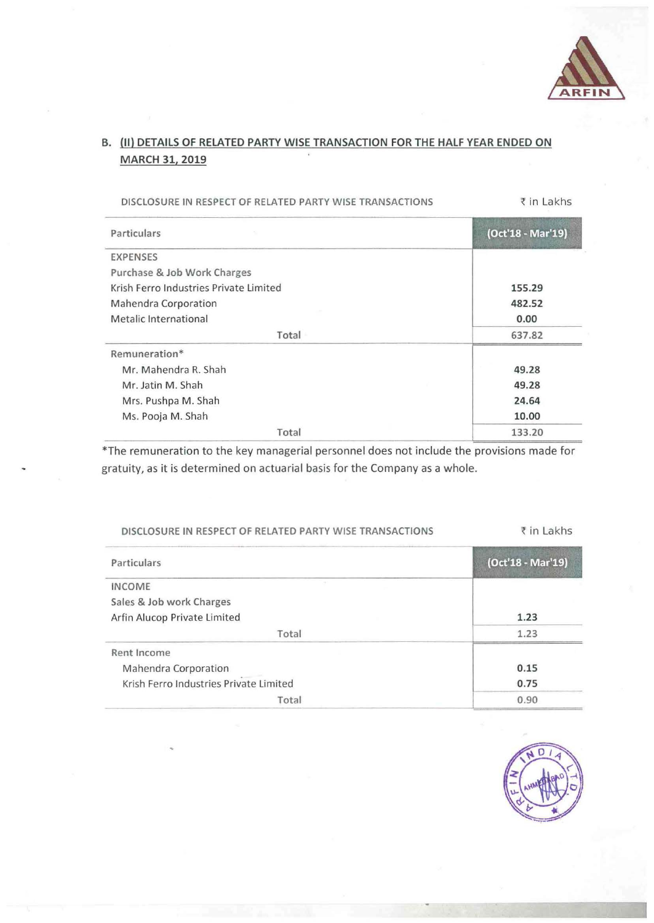

# B. (II) DETAILS OF RELATED PARTY WISE TRANSACTION FOR THE HALF YEAR ENDED ON MARCH 31, 2019

| DISCLOSURE IN RESPECT OF RELATED PARTY WISE TRANSACTIONS | ₹ in Lakhs        |  |
|----------------------------------------------------------|-------------------|--|
| Particulars                                              | (Oct'18 - Mar'19) |  |
| <b>EXPENSES</b>                                          |                   |  |
| Purchase & Job Work Charges                              |                   |  |
| Krish Ferro Industries Private Limited                   | 155.29            |  |
| Mahendra Corporation                                     | 482.52            |  |
| Metalic International                                    | 0.00              |  |
| Total                                                    | 637.82            |  |
| Remuneration*                                            |                   |  |
| Mr. Mahendra R. Shah                                     | 49.28             |  |
| Mr. Jatin M. Shah                                        | 49.28             |  |
| Mrs. Pushpa M. Shah                                      | 24.64             |  |
| Ms. Pooja M. Shah                                        | 10.00             |  |
| Total                                                    | 133.20            |  |

\*The remuneration to the key managerial personnel does not include the provisions made for gratuity, as it is determined on actuarial basis for the Company as a whole.

| DISCLOSURE IN RESPECT OF RELATED PARTY WISE TRANSACTIONS | ₹ in Lakhs        |  |
|----------------------------------------------------------|-------------------|--|
| Particulars                                              | (Oct'18 - Mar'19) |  |
| <b>INCOME</b>                                            |                   |  |
| Sales & Job work Charges                                 |                   |  |
| Arfin Alucop Private Limited                             | 1.23              |  |
| Total                                                    | 1.23              |  |
| Rent Income                                              |                   |  |
| Mahendra Corporation                                     | 0.15              |  |
| Krish Ferro Industries Private Limited                   | 0.75              |  |
| Total                                                    | 0.90              |  |

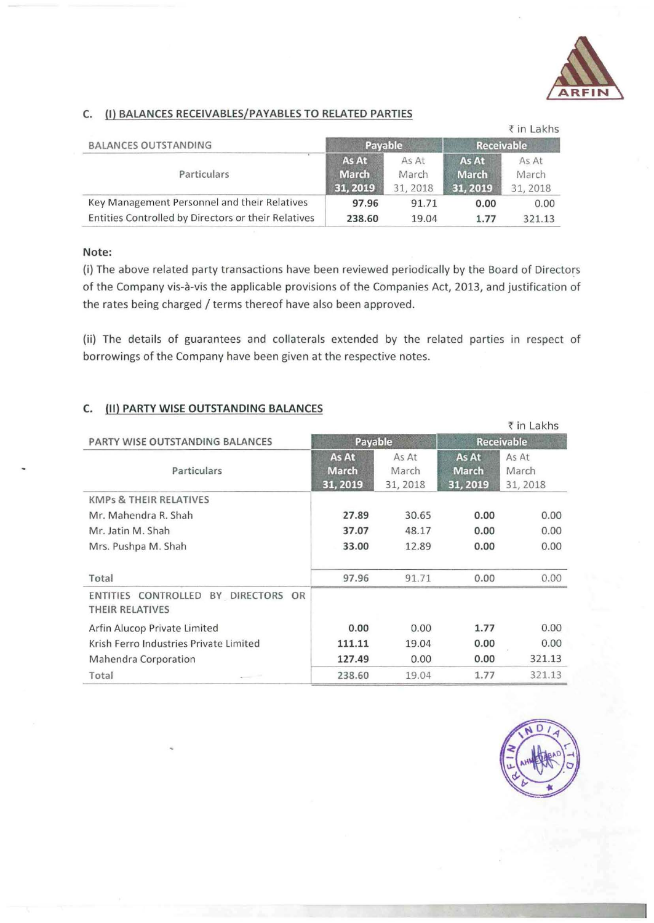

### C. (I) BALANCES RECEIVABLES/PAY ABLES TO RELATED PARTIES

|                                                     |              |          |                   | $\bar{z}$ in Lakhs |
|-----------------------------------------------------|--------------|----------|-------------------|--------------------|
| <b>BALANCES OUTSTANDING</b>                         | Payable      |          | <b>Receivable</b> |                    |
| Particulars                                         | As At        | As At    | As At             | As At              |
|                                                     | <b>March</b> | March    | <b>March</b>      | March              |
|                                                     | 31, 2019     | 31, 2018 | 31, 2019          | 31, 2018           |
| Key Management Personnel and their Relatives        | 97.96        | 91.71    | 0.00              | 0.00               |
| Entities Controlled by Directors or their Relatives | 238.60       | 19.04    | 1.77              | 321.13             |

### Note:

(i) The above related party transactions have been reviewed periodically by the Board of Directors of the Company vis-à-vis the applicable provisions of the Companies Act, 2013, and justification of the rates being charged / terms thereof have also been approved.

(ii) The details of guarantees and collaterals extended by the related parties in respect of borrowings of the Company have been given at the respective notes.

### C. (II) PARTY WISE OUTSTANDING BALANCES

|                                                        |                                   |                            |                                   | ₹ in Lakhs                 |
|--------------------------------------------------------|-----------------------------------|----------------------------|-----------------------------------|----------------------------|
| PARTY WISE OUTSTANDING BALANCES                        | Payable                           |                            |                                   | <b>Receivable</b>          |
| Particulars                                            | As At<br><b>March</b><br>31, 2019 | As At<br>March<br>31, 2018 | As At<br><b>March</b><br>31, 2019 | As At<br>March<br>31, 2018 |
| <b>KMPs &amp; THEIR RELATIVES</b>                      |                                   |                            |                                   |                            |
| Mr. Mahendra R. Shah                                   | 27.89                             | 30.65                      | 0.00                              | 0.00                       |
| Mr. Jatin M. Shah                                      | 37.07                             | 48.17                      | 0.00                              | 0.00                       |
| Mrs. Pushpa M. Shah                                    | 33.00                             | 12.89                      | 0.00                              | 0.00                       |
| Total                                                  | 97.96                             | 91.71                      | 0.00                              | 0.00                       |
| ENTITIES CONTROLLED BY DIRECTORS OR<br>THEIR RELATIVES |                                   |                            |                                   |                            |
| Arfin Alucop Private Limited                           | 0.00                              | 0.00                       | 1.77                              | 0.00                       |
| Krish Ferro Industries Private Limited                 | 111.11                            | 19.04                      | 0.00                              | 0.00                       |
| <b>Mahendra Corporation</b>                            | 127.49                            | 0.00                       | 0.00                              | 321.13                     |
| Total                                                  | 238.60                            | 19.04                      | 1.77                              | 321.13                     |